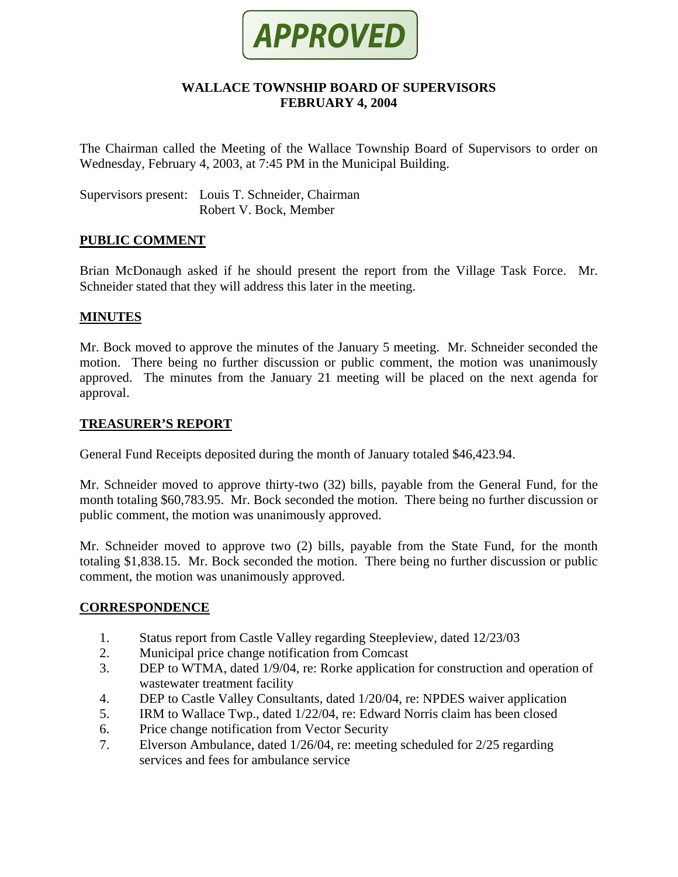

### **WALLACE TOWNSHIP BOARD OF SUPERVISORS FEBRUARY 4, 2004**

The Chairman called the Meeting of the Wallace Township Board of Supervisors to order on Wednesday, February 4, 2003, at 7:45 PM in the Municipal Building.

Supervisors present: Louis T. Schneider, Chairman Robert V. Bock, Member

### **PUBLIC COMMENT**

Brian McDonaugh asked if he should present the report from the Village Task Force. Mr. Schneider stated that they will address this later in the meeting.

#### **MINUTES**

Mr. Bock moved to approve the minutes of the January 5 meeting. Mr. Schneider seconded the motion. There being no further discussion or public comment, the motion was unanimously approved. The minutes from the January 21 meeting will be placed on the next agenda for approval.

#### **TREASURER'S REPORT**

General Fund Receipts deposited during the month of January totaled \$46,423.94.

Mr. Schneider moved to approve thirty-two (32) bills, payable from the General Fund, for the month totaling \$60,783.95. Mr. Bock seconded the motion. There being no further discussion or public comment, the motion was unanimously approved.

Mr. Schneider moved to approve two (2) bills, payable from the State Fund, for the month totaling \$1,838.15. Mr. Bock seconded the motion. There being no further discussion or public comment, the motion was unanimously approved.

#### **CORRESPONDENCE**

- 1. Status report from Castle Valley regarding Steepleview, dated 12/23/03
- 2. Municipal price change notification from Comcast
- 3. DEP to WTMA, dated 1/9/04, re: Rorke application for construction and operation of wastewater treatment facility
- 4. DEP to Castle Valley Consultants, dated 1/20/04, re: NPDES waiver application
- 5. IRM to Wallace Twp., dated 1/22/04, re: Edward Norris claim has been closed
- 6. Price change notification from Vector Security
- 7. Elverson Ambulance, dated 1/26/04, re: meeting scheduled for 2/25 regarding services and fees for ambulance service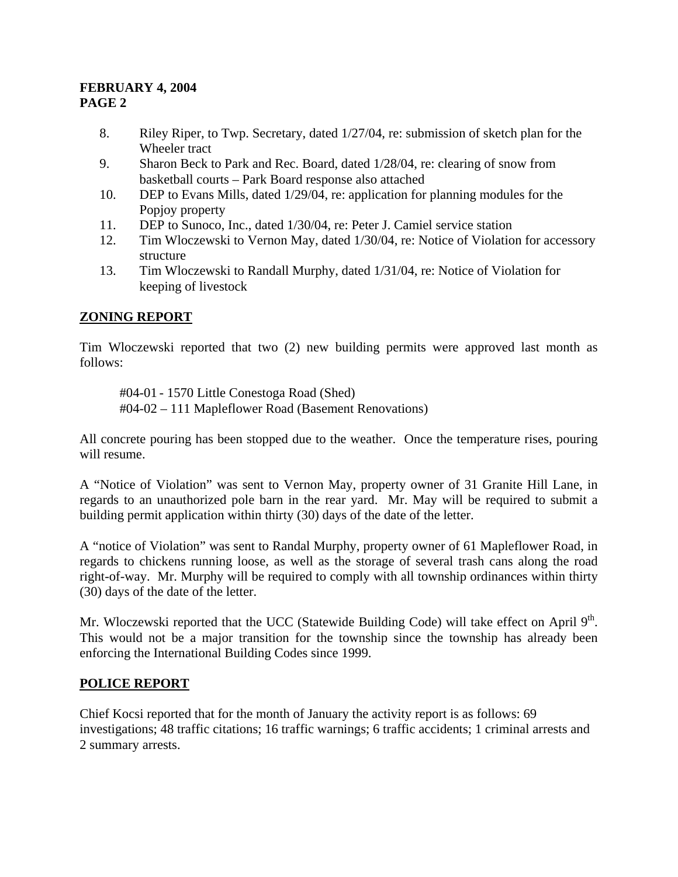- 8. Riley Riper, to Twp. Secretary, dated 1/27/04, re: submission of sketch plan for the Wheeler tract
- 9. Sharon Beck to Park and Rec. Board, dated 1/28/04, re: clearing of snow from basketball courts – Park Board response also attached
- 10. DEP to Evans Mills, dated 1/29/04, re: application for planning modules for the Popiov property
- 11. DEP to Sunoco, Inc., dated 1/30/04, re: Peter J. Camiel service station
- 12. Tim Wloczewski to Vernon May, dated 1/30/04, re: Notice of Violation for accessory structure
- 13. Tim Wloczewski to Randall Murphy, dated 1/31/04, re: Notice of Violation for keeping of livestock

# **ZONING REPORT**

Tim Wloczewski reported that two (2) new building permits were approved last month as follows:

 #04-01 - 1570 Little Conestoga Road (Shed) #04-02 – 111 Mapleflower Road (Basement Renovations)

All concrete pouring has been stopped due to the weather. Once the temperature rises, pouring will resume.

A "Notice of Violation" was sent to Vernon May, property owner of 31 Granite Hill Lane, in regards to an unauthorized pole barn in the rear yard. Mr. May will be required to submit a building permit application within thirty (30) days of the date of the letter.

A "notice of Violation" was sent to Randal Murphy, property owner of 61 Mapleflower Road, in regards to chickens running loose, as well as the storage of several trash cans along the road right-of-way. Mr. Murphy will be required to comply with all township ordinances within thirty (30) days of the date of the letter.

Mr. Wloczewski reported that the UCC (Statewide Building Code) will take effect on April 9<sup>th</sup>. This would not be a major transition for the township since the township has already been enforcing the International Building Codes since 1999.

# **POLICE REPORT**

Chief Kocsi reported that for the month of January the activity report is as follows: 69 investigations; 48 traffic citations; 16 traffic warnings; 6 traffic accidents; 1 criminal arrests and 2 summary arrests.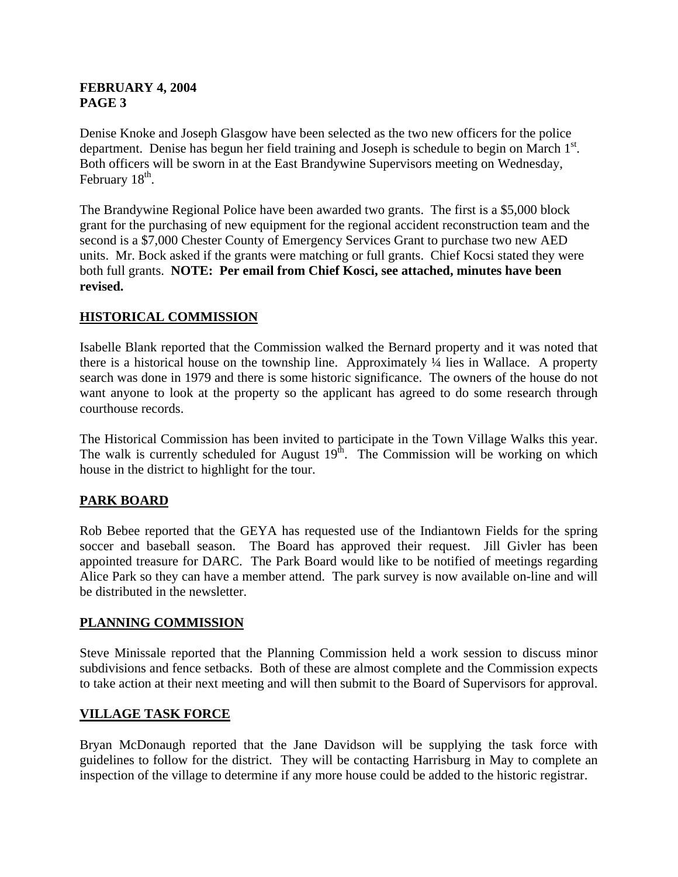Denise Knoke and Joseph Glasgow have been selected as the two new officers for the police department. Denise has begun her field training and Joseph is schedule to begin on March  $1<sup>st</sup>$ . Both officers will be sworn in at the East Brandywine Supervisors meeting on Wednesday, February  $18<sup>th</sup>$ .

The Brandywine Regional Police have been awarded two grants. The first is a \$5,000 block grant for the purchasing of new equipment for the regional accident reconstruction team and the second is a \$7,000 Chester County of Emergency Services Grant to purchase two new AED units. Mr. Bock asked if the grants were matching or full grants. Chief Kocsi stated they were both full grants. **NOTE: Per email from Chief Kosci, see attached, minutes have been revised.**

# **HISTORICAL COMMISSION**

Isabelle Blank reported that the Commission walked the Bernard property and it was noted that there is a historical house on the township line. Approximately ¼ lies in Wallace. A property search was done in 1979 and there is some historic significance. The owners of the house do not want anyone to look at the property so the applicant has agreed to do some research through courthouse records.

The Historical Commission has been invited to participate in the Town Village Walks this year. The walk is currently scheduled for August  $19<sup>th</sup>$ . The Commission will be working on which house in the district to highlight for the tour.

## **PARK BOARD**

Rob Bebee reported that the GEYA has requested use of the Indiantown Fields for the spring soccer and baseball season. The Board has approved their request. Jill Givler has been appointed treasure for DARC. The Park Board would like to be notified of meetings regarding Alice Park so they can have a member attend. The park survey is now available on-line and will be distributed in the newsletter.

## **PLANNING COMMISSION**

Steve Minissale reported that the Planning Commission held a work session to discuss minor subdivisions and fence setbacks. Both of these are almost complete and the Commission expects to take action at their next meeting and will then submit to the Board of Supervisors for approval.

## **VILLAGE TASK FORCE**

Bryan McDonaugh reported that the Jane Davidson will be supplying the task force with guidelines to follow for the district. They will be contacting Harrisburg in May to complete an inspection of the village to determine if any more house could be added to the historic registrar.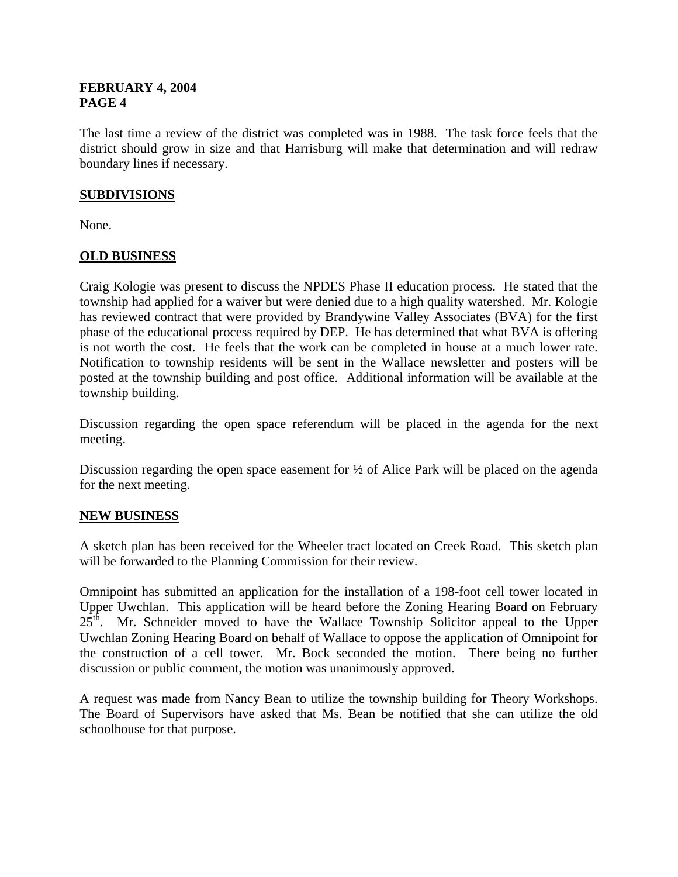The last time a review of the district was completed was in 1988. The task force feels that the district should grow in size and that Harrisburg will make that determination and will redraw boundary lines if necessary.

### **SUBDIVISIONS**

None.

### **OLD BUSINESS**

Craig Kologie was present to discuss the NPDES Phase II education process. He stated that the township had applied for a waiver but were denied due to a high quality watershed. Mr. Kologie has reviewed contract that were provided by Brandywine Valley Associates (BVA) for the first phase of the educational process required by DEP. He has determined that what BVA is offering is not worth the cost. He feels that the work can be completed in house at a much lower rate. Notification to township residents will be sent in the Wallace newsletter and posters will be posted at the township building and post office. Additional information will be available at the township building.

Discussion regarding the open space referendum will be placed in the agenda for the next meeting.

Discussion regarding the open space easement for  $\frac{1}{2}$  of Alice Park will be placed on the agenda for the next meeting.

## **NEW BUSINESS**

A sketch plan has been received for the Wheeler tract located on Creek Road. This sketch plan will be forwarded to the Planning Commission for their review.

Omnipoint has submitted an application for the installation of a 198-foot cell tower located in Upper Uwchlan. This application will be heard before the Zoning Hearing Board on February  $25<sup>th</sup>$ . Mr. Schneider moved to have the Wallace Township Solicitor appeal to the Upper Uwchlan Zoning Hearing Board on behalf of Wallace to oppose the application of Omnipoint for the construction of a cell tower. Mr. Bock seconded the motion. There being no further discussion or public comment, the motion was unanimously approved.

A request was made from Nancy Bean to utilize the township building for Theory Workshops. The Board of Supervisors have asked that Ms. Bean be notified that she can utilize the old schoolhouse for that purpose.